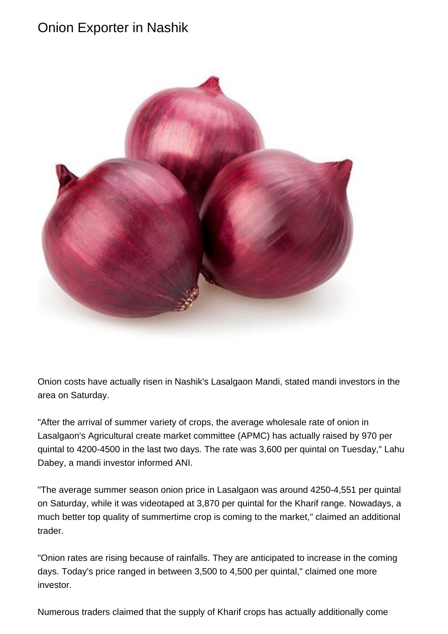## Onion Exporter in Nashik



Onion costs have actually risen in Nashik's Lasalgaon Mandi, stated mandi investors in the area on Saturday.

"After the arrival of summer variety of crops, the average wholesale rate of onion in Lasalgaon's Agricultural create market committee (APMC) has actually raised by 970 per quintal to 4200-4500 in the last two days. The rate was 3,600 per quintal on Tuesday," Lahu Dabey, a mandi investor informed ANI.

"The average summer season onion price in Lasalgaon was around 4250-4,551 per quintal on Saturday, while it was videotaped at 3,870 per quintal for the Kharif range. Nowadays, a much better top quality of summertime crop is coming to the market," claimed an additional trader.

"Onion rates are rising because of rainfalls. They are anticipated to increase in the coming days. Today's price ranged in between 3,500 to 4,500 per quintal," claimed one more investor.

Numerous traders claimed that the supply of Kharif crops has actually additionally come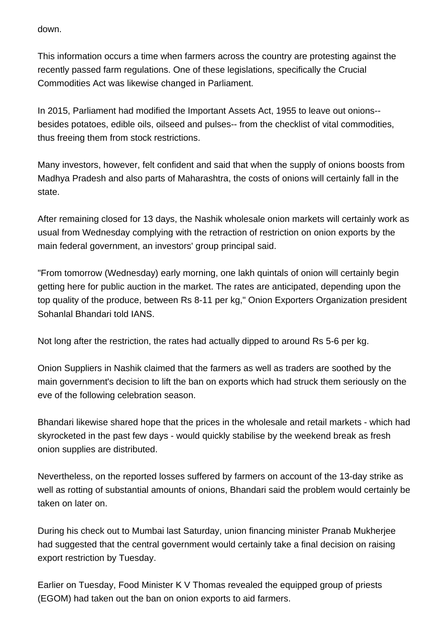down.

This information occurs a time when farmers across the country are protesting against the recently passed farm regulations. One of these legislations, specifically the Crucial Commodities Act was likewise changed in Parliament.

In 2015, Parliament had modified the Important Assets Act, 1955 to leave out onions- besides potatoes, edible oils, oilseed and pulses-- from the checklist of vital commodities, thus freeing them from stock restrictions.

Many investors, however, felt confident and said that when the supply of onions boosts from Madhya Pradesh and also parts of Maharashtra, the costs of onions will certainly fall in the state.

After remaining closed for 13 days, the Nashik wholesale onion markets will certainly work as usual from Wednesday complying with the retraction of restriction on onion exports by the main federal government, an investors' group principal said.

"From tomorrow (Wednesday) early morning, one lakh quintals of onion will certainly begin getting here for public auction in the market. The rates are anticipated, depending upon the top quality of the produce, between Rs 8-11 per kg," Onion Exporters Organization president Sohanlal Bhandari told IANS.

Not long after the restriction, the rates had actually dipped to around Rs 5-6 per kg.

[Onion Suppliers in Nashik](https://www.konnectintl.com/onion-exporter-in-india/) claimed that the farmers as well as traders are soothed by the main government's decision to lift the ban on exports which had struck them seriously on the eve of the following celebration season.

Bhandari likewise shared hope that the prices in the wholesale and retail markets - which had skyrocketed in the past few days - would quickly stabilise by the weekend break as fresh onion supplies are distributed.

Nevertheless, on the reported losses suffered by farmers on account of the 13-day strike as well as rotting of substantial amounts of onions, Bhandari said the problem would certainly be taken on later on.

During his check out to Mumbai last Saturday, union financing minister Pranab Mukherjee had suggested that the central government would certainly take a final decision on raising export restriction by Tuesday.

Earlier on Tuesday, Food Minister K V Thomas revealed the equipped group of priests (EGOM) had taken out the ban on onion exports to aid farmers.